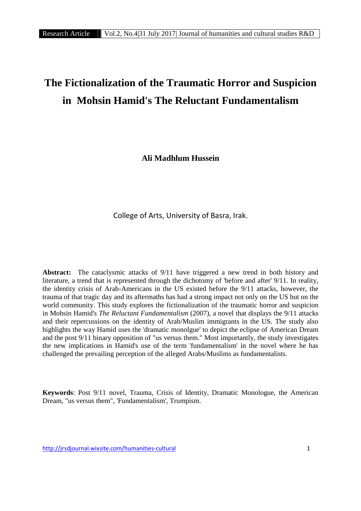# **The Fictionalization of the Traumatic Horror and Suspicion in Mohsin Hamid's The Reluctant Fundamentalism**

**Ali Madhlum Hussein**

College of Arts, University of Basra, Irak.

**Abstract:** The cataclysmic attacks of 9/11 have triggered a new trend in both history and literature, a trend that is represented through the dichotomy of 'before and after' 9/11. In reality, the identity crisis of Arab-Americans in the US existed before the 9/11 attacks, however, the trauma of that tragic day and its aftermaths has had a strong impact not only on the US but on the world community. This study explores the fictionalization of the traumatic horror and suspicion in Mohsin Hamid's *The Reluctant Fundamentalism* (2007), a novel that displays the 9/11 attacks and their repercussions on the identity of Arab/Muslim immigrants in the US. The study also highlights the way Hamid uses the 'dramatic monolgue' to depict the eclipse of American Dream and the post 9/11 binary opposition of "us versus them." Most importantly, the study investigates the new implications in Hamid's use of the term 'fundamentalism' in the novel where he has challenged the prevailing perception of the alleged Arabs/Muslims as fundamentalists.

**Keywords**: Post 9/11 novel, Trauma, Crisis of Identity, Dramatic Monologue, the American Dream, "us versus them", 'Fundamentalism', Trumpism.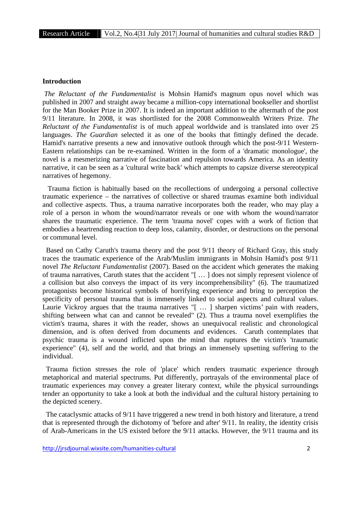## **Introduction**

*The Reluctant of the Fundamentalist* is Mohsin Hamid's magnum opus novel which was published in 2007 and straight away became a million-copy international bookseller and shortlist for the Man Booker Prize in 2007. It is indeed an important addition to the aftermath of the post 9/11 literature. In 2008, it was shortlisted for the 2008 Commonwealth Writers Prize. *The Reluctant of the Fundamentalist* is of much appeal worldwide and is translated into over 25 languages. *The Guardian* selected it as one of the books that fittingly defined the decade. Hamid's narrative presents a new and innovative outlook through which the post-9/11 Western- Eastern relationships can be re-examined. Written in the form of a 'dramatic monologue', the novel is a mesmerizing narrative of fascination and repulsion towards America. As an identity narrative, it can be seen as a 'cultural write back' which attempts to capsize diverse stereotypical narratives of hegemony.

Trauma fiction is habitually based on the recollections of undergoing a personal collective traumatic experience – the narratives of collective or shared traumas examine both individual and collective aspects. Thus, a trauma narrative incorporates both the reader, who may play a role of a person in whom the wound/narrator reveals or one with whom the wound/narrator shares the traumatic experience. The term 'trauma novel' copes with a work of fiction that embodies a heartrending reaction to deep loss, calamity, disorder, or destructions on the personal or communal level.

Based on Cathy Caruth's trauma theory and the post 9/11 theory of Richard Gray, this study traces the traumatic experience of the Arab/Muslim immigrants in Mohsin Hamid's post 9/11 novel *The Reluctant Fundamentalist* (2007). Based on the accident which generates the making of trauma narratives, Caruth states that the accident "[ … ] does not simply represent violence of a collision but also conveys the impact of its very incomprehensibility" (6). The traumatized protagonists become historical symbols of horrifying experience and bring to perception the specificity of personal trauma that is immensely linked to social aspects and cultural values. Laurie Vickroy argues that the trauma narratives "[ ... ] sharpen victims' pain with readers, shifting between what can and cannot be revealed" (2). Thus a trauma novel exemplifies the victim's trauma, shares it with the reader, shows an unequivocal realistic and chronological dimension, and is often derived from documents and evidences. Caruth contemplates that psychic trauma is a wound inflicted upon the mind that ruptures the victim's 'traumatic experience" (4), self and the world, and that brings an immensely upsetting suffering to the individual.

Trauma fiction stresses the role of 'place' which renders traumatic experience through metaphorical and material spectrums. Put differently, portrayals of the environmental place of traumatic experiences may convey a greater literary context, while the physical surroundings tender an opportunity to take a look at both the individual and the cultural history pertaining to the depicted scenery.

The cataclysmic attacks of 9/11 have triggered a new trend in both history and literature, a trend that is represented through the dichotomy of 'before and after' 9/11. In reality, the identity crisis of Arab-Americans in the US existed before the 9/11 attacks. However, the 9/11 trauma and its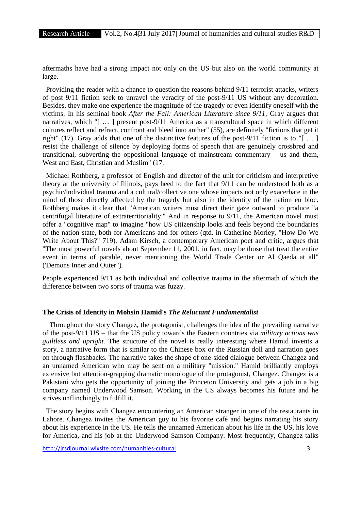aftermaths have had a strong impact not only on the US but also on the world community at large.

Providing the reader with a chance to question the reasons behind 9/11 terrorist attacks, writers of post 9/11 fiction seek to unravel the veracity of the post-9/11 US without any decoration. Besides, they make one experience the magnitude of the tragedy or even identify oneself with the victims. In his seminal book *After the Fall: American Literature since 9/11,* Gray argues that narratives, which "[ … ] present post-9/11 America as a transcultural space in which different cultures reflect and refract, confront and bleed into anther" (55), are definitely "fictions that get it right" (17). Gray adds that one of the distinctive features of the post-9/11 fiction is to "[ … ] resist the challenge of silence by deploying forms of speech that are genuinely crossbred and transitional, subverting the oppositional language of mainstream commentary – us and them, West and East, Christian and Muslim" (17.

Michael Rothberg, a professor of English and director of the unit for criticism and interpretive theory at the university of Illinois, pays heed to the fact that 9/11 can be understood both as a psychic/individual trauma and a cultural/collective one whose impacts not only exacerbate in the mind of those directly affected by the tragedy but also in the identity of the nation en bloc. Rothberg makes it clear that "American writers must direct their gaze outward to produce "a centrifugal literature of extraterritoriality." And in response to 9/11, the American novel must offer a "cognitive map" to imagine "how US citizenship looks and feels beyond the boundaries of the nation-state, both for Americans and for others (qtd. in Catherine Morley, "How Do We Write About This?" 719). Adam Kirsch, a contemporary American poet and critic, argues that "The most powerful novels about September 11, 2001, in fact, may be those that treat the entire event in terms of parable, never mentioning the World Trade Center or Al Qaeda at all" ('Demons Inner and Outer").

People experienced 9/11 as both individual and collective trauma in the aftermath of which the difference between two sorts of trauma was fuzzy.

#### **The Crisis of Identity in Mohsin Hamid's** *The Reluctant Fundamentalist*

Throughout the story Changez, the protagonist, challenges the idea of the prevailing narrative of the post-9/11 US – that the US policy towards the Eastern countries via *military actions was guiltless and upright.* The structure of the novel is really interesting where Hamid invents a story, a narrative form that is similar to the Chinese box or the Russian doll and narration goes on through flashbacks. The narrative takes the shape of one-sided dialogue between Changez and an unnamed American who may be sent on a military "mission." Hamid brilliantly employs extensive but attention-grapping dramatic monologue of the protagonist, Changez. Changez is a Pakistani who gets the opportunity of joining the Princeton University and gets a job in a big company named Underwood Samson. Working in the US always becomes his future and he strives unflinchingly to fulfill it.

The story begins with Changez encountering an American stranger in one of the restaurants in Lahore. Changez invites the American guy to his favorite café and begins narrating his story about his experience in the US. He tells the unnamed American about his life in the US, his love for America, and his job at the Underwood Samson Company. Most frequently, Changez talks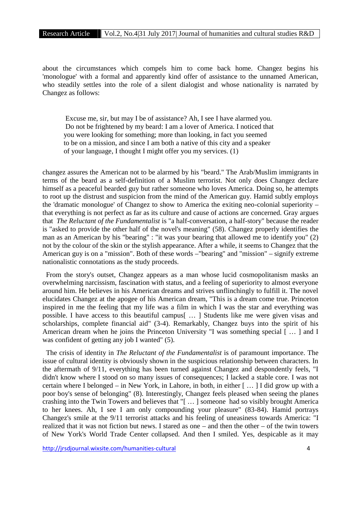about the circumstances which compels him to come back home. Changez begins his 'monologue' with a formal and apparently kind offer of assistance to the unnamed American, who steadily settles into the role of a silent dialogist and whose nationality is narrated by Changez as follows:

Excuse me, sir, but may I be of assistance? Ah, I see I have alarmed you. Do not be frightened by my beard: I am a lover of America. I noticed that you were looking for something; more than looking, in fact you seemed to be on a mission, and since I am both a native of this city and a speaker of your language, I thought I might offer you my services. (1)

changez assures the American not to be alarmed by his "beard." The Arab/Muslim immigrants in terms of the beard as a self-definition of a Muslim terrorist. Not only does Changez declare himself as a peaceful bearded guy but rather someone who loves America. Doing so, he attempts to root up the distrust and suspicion from the mind of the American guy. Hamid subtly employs the 'dramatic monologue' of Changez to show to America the exiting neo-colonial superiority – that everything is not perfect as far as its culture and cause of actions are concerned. Gray argues that *The Reluctant of the Fundamentalist* is "a half-conversation, a half-story" because the reader is "asked to provide the other half of the novel's meaning" (58). Changez properly identifies the man as an American by his "bearing" : "it was your bearing that allowed me to identify you" (2) not by the colour of the skin or the stylish appearance. After a while, it seems to Changez that the American guy is on a "mission". Both of these words –"bearing" and "mission" – signify extreme nationalistic connotations as the study proceeds.

From the story's outset, Changez appears as a man whose lucid cosmopolitanism masks an overwhelming narcissism, fascination with status, and a feeling of superiority to almost everyone around him. He believes in his American dreams and strives unflinchingly to fulfill it. The novel elucidates Changez at the apogee of his American dream, "This is a dream come true. Princeton inspired in me the feeling that my life was a film in which I was the star and everything was possible. I have access to this beautiful campus[ … ] Students like me were given visas and scholarships, complete financial aid" (3-4). Remarkably, Changez buys into the spirit of his American dream when he joins the Princeton University "I was something special [ … ] and I was confident of getting any job I wanted" (5).

The crisis of identity in *The Reluctant of the Fundamentalist* is of paramount importance. The issue of cultural identity is obviously shown in the suspicious relationship between characters. In the aftermath of 9/11, everything has been turned against Changez and despondently feels, "I didn't know where I stood on so many issues of consequences; I lacked a stable core. I was not certain where I belonged – in New York, in Lahore, in both, in either [ … ] I did grow up with a poor boy's sense of belonging" (8). Interestingly, Changez feels pleased when seeing the planes crashing into the Twin Towers and believes that "[ … ] someone had so visibly brought America to her knees. Ah, I see I am only compounding your pleasure" (83-84). Hamid portrays Changez's smile at the 9/11 terrorist attacks and his feeling of uneasiness towards America: "I realized that it was not fiction but news. I stared as one – and then the other – of the twin towers of New York's World Trade Center collapsed. And then I smiled. Yes, despicable as it may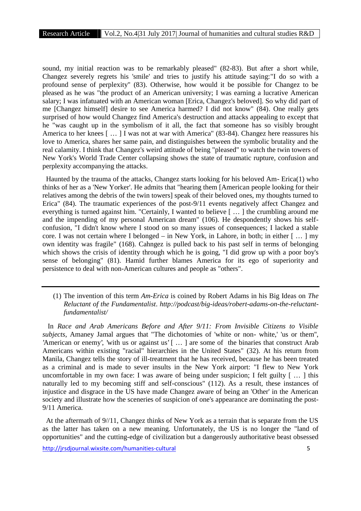sound, my initial reaction was to be remarkably pleased" (82-83). But after a short while, Changez severely regrets his 'smile' and tries to justify his attitude saying:"I do so with a profound sense of perplexity" (83). Otherwise, how would it be possible for Changez to be pleased as he was "the product of an American university; I was earning a lucrative American salary; I was infatuated with an American woman [Erica, Changez's beloved]. So why did part of me [Changez himself] desire to see America harmed? I did not know" (84). One really gets surprised of how would Changez find America's destruction and attacks appealing to except that he "was caught up in the symbolism of it all, the fact that someone has so visibly brought America to her knees [ … ] I was not at war with America" (83-84). Changez here reassures his love to America, shares her same pain, and distinguishes between the symbolic brutality and the real calamity. I think that Changez's weird attitude of being "pleased" to watch the twin towers of New York's World Trade Center collapsing shows the state of traumatic rupture, confusion and perplexity accompanying the attacks.

Haunted by the trauma of the attacks, Changez starts looking for his beloved Am- Erica(1) who thinks of her as a 'New Yorker'. He admits that "hearing them [American people looking for their relatives among the debris of the twin towers] speak of their beloved ones, my thoughts turned to Erica" (84). The traumatic experiences of the post-9/11 events negatively affect Changez and everything is turned against him. "Certainly, I wanted to believe [ … ] the crumbling around me and the impending of my personal American dream" (106). He despondently shows his self confusion, "I didn't know where I stood on so many issues of consequences; I lacked a stable core. I was not certain where I belonged – in New York, in Lahore, in both; in either  $[...]$  my own identity was fragile" (168). Cahngez is pulled back to his past self in terms of belonging which shows the crisis of identity through which he is going, "I did grow up with a poor boy's sense of belonging" (81). Hamid further blames America for its ego of superiority and persistence to deal with non-American cultures and people as "others".

(1) The invention of this term *Am-Erica* is coined by Robert Adams in his Big Ideas on *The Reluctant of the Fundamentalist*. *http://podcast/big-ideas/robert-adams-on-the-reluctantfundamentalist/*

In *Race and Arab Americans Before and After 9/11: From Invisible Citizens to Visible subjects*, Amaney Jamal argues that "The dichotomies of 'white or non- white,' 'us or them'', 'American or enemy', 'with us or against us' [ ... ] are some of the binaries that construct Arab Americans within existing "racial" hierarchies in the United States" (32). At his return from Manila, Changez tells the story of ill-treatment that he has received, because he has been treated as a criminal and is made to sever insults in the New York airport: "I flew to New York uncomfortable in my own face: I was aware of being under suspicion; I felt guilty [ … ] this naturally led to my becoming stiff and self-conscious" (112). As a result, these instances of injustice and disgrace in the US have made Changez aware of being an 'Other' in the American society and illustrate how the sceneries of suspicion of one's appearance are dominating the post- 9/11 America.

At the aftermath of 9//11, Changez thinks of New York as a terrain that is separate from the US as the latter has taken on a new meaning. Unfortunately, the US is no longer the "land of opportunities" and the cutting-edge of civilization but a dangerously authoritative beast obsessed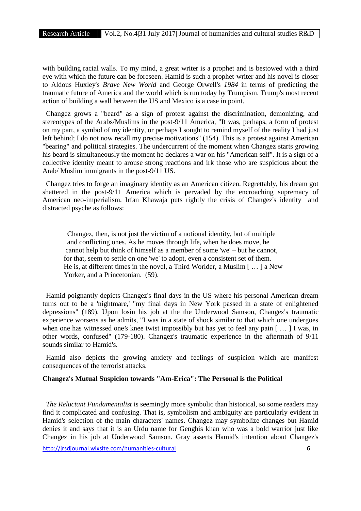with building racial walls. To my mind, a great writer is a prophet and is bestowed with a third eye with which the future can be foreseen. Hamid is such a prophet-writer and his novel is closer to Aldous Huxley's *Brave New World* and George Orwell's *1984* in terms of predicting the traumatic future of America and the world which is run today by Trumpism. Trump's most recent action of building a wall between the US and Mexico is a case in point.

Changez grows a "beard" as a sign of protest against the discrimination, demonizing, and stereotypes of the Arabs/Muslims in the post-9/11 America, "It was, perhaps, a form of protest on my part, a symbol of my identity, or perhaps I sought to remind myself of the reality I had just left behind; I do not now recall my precise motivations" (154). This is a protest against American "bearing" and political strategies. The undercurrent of the moment when Changez starts growing his beard is simultaneously the moment he declares a war on his "American self". It is a sign of a collective identity meant to arouse strong reactions and irk those who are suspicious about the Arab/ Muslim immigrants in the post-9/11 US.

Changez tries to forge an imaginary identity as an American citizen. Regrettably, his dream got shattered in the post-9/11 America which is pervaded by the encroaching supremacy of American neo-imperialism. Irfan Khawaja puts rightly the crisis of Changez's identity and distracted psyche as follows:

Changez, then, is not just the victim of a notional identity, but of multiple and conflicting ones. As he moves through life, when he does move, he cannot help but think of himself as a member of some 'we' – but he cannot, for that, seem to settle on one 'we' to adopt, even a consistent set of them. He is, at different times in the novel, a Third Worlder, a Muslim [ … ] a New Yorker, and a Princetonian. (59).

Hamid poignantly depicts Changez's final days in the US where his personal American dream turns out to be a 'nightmare,' "my final days in New York passed in a state of enlightened depressions" (189). Upon losin his job at the the Underwood Samson, Changez's traumatic experience worsens as he admits, "I was in a state of shock similar to that which one undergoes when one has witnessed one's knee twist impossibly but has yet to feel any pain [ … ] I was, in other words, confused" (179-180). Changez's traumatic experience in the aftermath of 9/11 sounds similar to Hamid's.

Hamid also depicts the growing anxiety and feelings of suspicion which are manifest consequences of the terrorist attacks.

## **Changez's Mutual Suspicion towards "Am-Erica": The Personal is the Political**

*The Reluctant Fundamentalist* is seemingly more symbolic than historical, so some readers may find it complicated and confusing. That is, symbolism and ambiguity are particularly evident in Hamid's selection of the main characters' names. Changez may symbolize changes but Hamid denies it and says that it is an Urdu name for Genghis khan who was a bold warrior just like Changez in his job at Underwood Samson. Gray asserts Hamid's intention about Changez's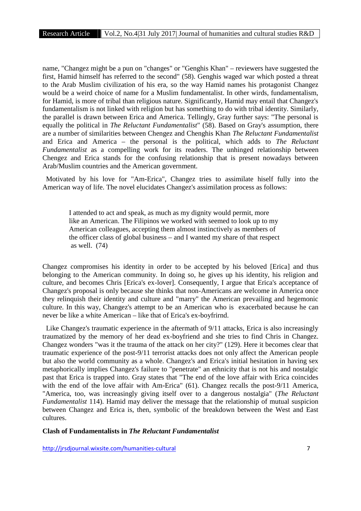name, "Changez might be a pun on "changes" or "Genghis Khan" – reviewers have suggested the first, Hamid himself has referred to the second" (58). Genghis waged war which posted a threat to the Arab Muslim civilization of his era, so the way Hamid names his protagonist Changez would be a weird choice of name for a Muslim fundamentalist. In other wirds, fundamentalism, for Hamid, is more of tribal than religious nature. Significantly, Hamid may entail that Changez's fundamentalism is not linked with religion but has something to do with tribal identity. Similarly, the parallel is drawn between Erica and America. Tellingly, Gray further says: "The personal is equally the political in *The Reluctant Fundamentalist*" (58). Based on Gray's assumption, there are a number of similarities between Chengez and Chenghis Khan *The Reluctant Fundamentalist* and Erica and America – the personal is the political, which adds to *The Reluctant Fundamentalist* as a compelling work for its readers. The unhinged relationship between Chengez and Erica stands for the confusing relationship that is present nowadays between Arab/Muslim countries and the American government.

Motivated by his love for "Am-Erica", Changez tries to assimilate hiself fully into the American way of life. The novel elucidates Changez's assimilation process as follows:

I attended to act and speak, as much as my dignity would permit, more like an American. The Filipinos we worked with seemed to look up to my American colleagues, accepting them almost instinctively as members of the officer class of global business – and I wanted my share of that respect as well. (74)

Changez compromises his identity in order to be accepted by his beloved [Erica] and thus belonging to the American community. In doing so, he gives up his identity, his religion and culture, and becomes Chris [Erica's ex-lover]. Consequently, I argue that Erica's acceptance of Changez's proposal is only because she thinks that non-Americans are welcome in America once they relinquish their identity and culture and "marry" the American prevailing and hegemonic culture. In this way, Changez's attempt to be an American who is exacerbated because he can never be like a white American – like that of Erica's ex-boyfrirnd.

Like Changez's traumatic experience in the aftermath of 9/11 attacks, Erica is also increasingly traumatized by the memory of her dead ex-boyfriend and she tries to find Chris in Changez. Changez wonders "was it the trauma of the attack on her city?" (129). Here it becomes clear that traumatic experience of the post-9/11 terrorist attacks does not only affect the American people but also the world community as a whole. Changez's and Erica's initial hesitation in having sex metaphorically implies Changez's failure to "penetrate" an ethnicity that is not his and nostalgic past that Erica is trapped into. Gray states that "The end of the love affair with Erica coincides with the end of the love affair with Am-Erica" (61). Changez recalls the post-9/11 America, "America, too, was increasingly giving itself over to a dangerous nostalgia" (*The Reluctant Fundamentalist* 114). Hamid may deliver the message that the relationship of mutual suspicion between Changez and Erica is, then, symbolic of the breakdown between the West and East cultures.

### **Clash of Fundamentalists in** *The Reluctant Fundamentalist*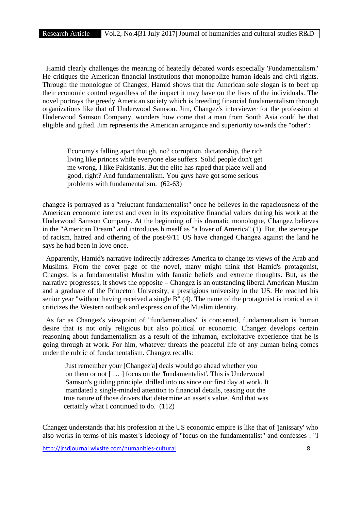Hamid clearly challenges the meaning of heatedly debated words especially 'Fundamentalism.' He critiques the American financial institutions that monopolize human ideals and civil rights. Through the monologue of Changez, Hamid shows that the American sole slogan is to beef up their economic control regardless of the impact it may have on the lives of the individuals. The novel portrays the greedy American society which is breeding financial fundamentalism through organizations like that of Underwood Samson. Jim, Changez's interviewer for the profession at Underwood Samson Company, wonders how come that a man from South Asia could be that eligible and gifted. Jim represents the American arrogance and superiority towards the "other":

Economy's falling apart though, no? corruption, dictatorship, the rich living like princes while everyone else suffers. Solid people don't get me wrong. I like Pakistanis. But the elite has raped that place well and good, right? And fundamentalism. You guys have got some serious problems with fundamentalism. (62-63)

changez is portrayed as a "reluctant fundamentalist" once he believes in the rapaciousness of the American economic interest and even in its exploitative financial values during his work at the Underwood Samson Company. At the beginning of his dramatic monologue, Changez believes in the "American Dream" and introduces himself as "a lover of America" (1). But, the stereotype of racism, hatred and othering of the post-9/11 US have changed Changez against the land he says he had been in love once.

Apparently, Hamid's narrative indirectly addresses America to change its views of the Arab and Muslims. From the cover page of the novel, many might think thst Hamid's protagonist, Changez, is a fundamentalist Muslim with fanatic beliefs and extreme thoughts. But, as the narrative progresses, it shows the opposite – Changez is an outstanding liberal American Muslim and a graduate of the Princeton University, a prestigious university in the US. He reached his senior year "without having received a single B" (4). The name of the protagonist is ironical as it criticizes the Western outlook and expression of the Muslim identity.

As far as Changez's viewpoint of "fundamentalists" is concerned, fundamentalism is human desire that is not only religious but also political or economic. Changez develops certain reasoning about fundamentalism as a result of the inhuman, exploitative experience that he is going through at work. For him, whatever threats the peaceful life of any human being comes under the rubric of fundamentalism. Changez recalls:

Just remember your [Changez'a] deals would go ahead whether you on them or not [ … ] focus on the 'fundamentalist'. This is Underwood Samson's guiding principle, drilled into us since our first day at work. It mandated a single-minded attention to financial details, teasing out the true nature of those drivers that determine an asset's value. And that was certainly what I continued to do. (112)

Changez understands that his profession at the US economic empire is like that of 'janissary' who also works in terms of his master's ideology of "focus on the fundamentalist" and confesses : "I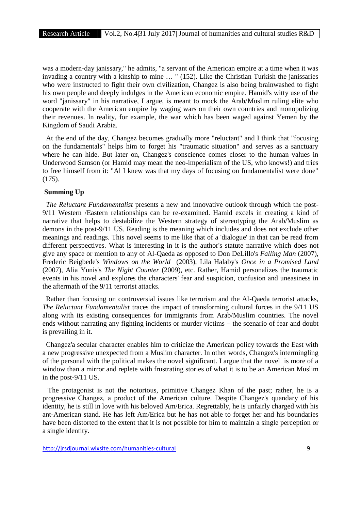was a modern-day janissary," he admits, "a servant of the American empire at a time when it was invading a country with a kinship to mine … " (152). Like the Christian Turkish the janissaries who were instructed to fight their own civilization, Changez is also being brainwashed to fight his own people and deeply indulges in the American economic empire. Hamid's witty use of the word "janissary" in his narrative, I argue, is meant to mock the Arab/Muslim ruling elite who cooperate with the American empire by waging wars on their own countries and monopolizing their revenues. In reality, for example, the war which has been waged against Yemen by the Kingdom of Saudi Arabia.

At the end of the day, Changez becomes gradually more "reluctant" and I think that "focusing on the fundamentals" helps him to forget his "traumatic situation" and serves as a sanctuary where he can hide. But later on, Changez's conscience comes closer to the human values in Underwood Samson (or Hamid may mean the neo-imperialism of the US, who knows!) and tries to free himself from it: "Al I knew was that my days of focusing on fundamentalist were done" (175).

#### **Summing Up**

*The Reluctant Fundamentalist* presents a new and innovative outlook through which the post- 9/11 Western /Eastern relationships can be re-examined. Hamid excels in creating a kind of narrative that helps to destabilize the Western strategy of stereotyping the Arab/Muslim as demons in the post-9/11 US. Reading is the meaning which includes and does not exclude other meanings and readings. This novel seems to me like that of a 'dialogue' in that can be read from different perspectives. What is interesting in it is the author's statute narrative which does not give any space or mention to any of Al-Qaeda as opposed to Don DeLillo's *Falling Man* (2007), Frederic Beigbede's *Windows on the World* (2003), Lila Halaby's *Once in a Promised Land* (2007), Alia Yunis's *The Night Counter* (2009), etc. Rather, Hamid personalizes the traumatic events in his novel and explores the characters' fear and suspicion, confusion and uneasiness in the aftermath of the 9/11 terrorist attacks.

Rather than focusing on controversial issues like terrorism and the Al-Qaeda terrorist attacks, *The Reluctant Fundamentalist* traces the impact of transforming cultural forces in the 9/11 US along with its existing consequences for immigrants from Arab/Muslim countries. The novel ends without narrating any fighting incidents or murder victims – the scenario of fear and doubt is prevailing in it.

Changez'a secular character enables him to criticize the American policy towards the East with a new progressive unexpected from a Muslim character. In other words, Changez's intermingling of the personal with the political makes the novel significant. I argue that the novel is more of a window than a mirror and replete with frustrating stories of what it is to be an American Muslim in the post-9/11 US.

The protagonist is not the notorious, primitive Changez Khan of the past; rather, he is a progressive Changez, a product of the American culture. Despite Changez's quandary of his identity, he is still in love with his beloved Am/Erica. Regrettably, he is unfairly charged with his ant-American stand. He has left Am/Erica but he has not able to forget her and his boundaries have been distorted to the extent that it is not possible for him to maintain a single perception or a single identity.